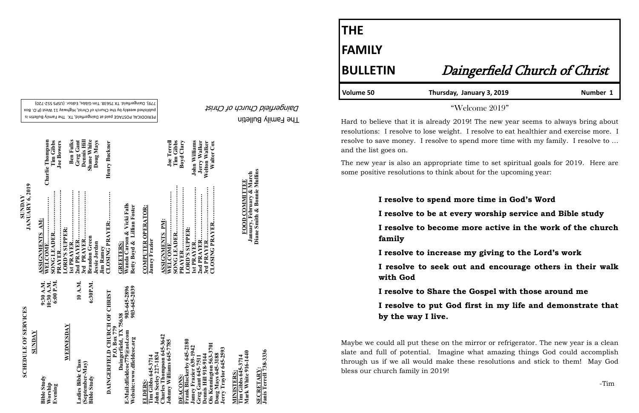The Family Bulletin Daingerfield Church of Christ

# **SCHEDULE OF SERVICES SCHEDULE OF SERVICES**

PERIODICAL POSTAGE paid at Daingerfield, TX. The Family Bulletin is published weekly by the Church of Christ, Highway 11 West (P.O. Box 720) - 779). Daingerfield. TX 75638. Tim Gibbs, Editor. (USPS 552

|                                                                                                    |                              | JANUARY 6, 2019                                                               |                                          |
|----------------------------------------------------------------------------------------------------|------------------------------|-------------------------------------------------------------------------------|------------------------------------------|
| <b>ZVONDS</b>                                                                                      |                              |                                                                               |                                          |
| <b>Bible Study</b><br>Worship                                                                      | 9:30 A.M.<br>10:30 A.M.      | . <u>.</u> .<br>ASSIGNMENTS AM:<br>WELCOME                                    | <b>Charlie Thompson</b>                  |
| Evening                                                                                            | 6:00 P.M.                    | PRAYER                                                                        | Tim Gibbs<br><b>Joe Bowers</b>           |
| WEDNESDAY                                                                                          |                              | LORD'S SUPPER:                                                                |                                          |
| Ladies Bible Class                                                                                 | 10 A.M.                      | 1st PRAYER                                                                    | <b>Ben Fulks</b><br>Greg Gant            |
| (September-May)<br><b>Bible Study</b>                                                              | 6:30P.M.                     | 3rd PRAYER<br><b>Brandon Green</b>                                            | <b>Shane White</b><br><b>Dennis Hill</b> |
| DAINGERFIELD CHURCH OF CHRIST                                                                      |                              | CLOSING PRAYER:<br>Jessie Jordan<br><b>Jim Ramey</b>                          | Doug Mays<br>Henry Buckner               |
| Daingerfield, TX 75638<br>P.O. Box 779<br>E-Mail:dfieldcoc779@aol.com<br>Website:www.dfieldcoc.org | 903-645-2896<br>903-645-2039 | Wanda Carson & Vicki Falls<br>Betty Boyd & Lillian Foster<br><b>GREETERS:</b> |                                          |
| ELDERS:                                                                                            |                              | <b>COMPUTER OPERATOR:</b>                                                     |                                          |
| John Seeley 227-1834<br>Tim Gibbs 645-3714                                                         |                              | <b>Jamey Frazier</b>                                                          |                                          |
| Charles Thompson 645-3642<br>Johnny Williams 645-7785                                              |                              | ASSIGNMENTS PM:<br>WELCOME                                                    | <b>Joe Terrell</b>                       |
| DEACONS:                                                                                           |                              | <br>PRAYER                                                                    | Tim Gibbs<br>Boyd Clary                  |
| Frank Blackerby 645-2180<br>Jamey Frazier 639-1942                                                 |                              | LORD'S SUPPER:                                                                | John Williams                            |
| Dennis Hill 918-9144<br>Greg Gant 645-7511                                                         |                              |                                                                               | Jerry Walker                             |
| Ois Kennington 563-3701<br>Jerry Traylor 645-2593<br>Doug Mays 645-3188                            |                              |                                                                               | Welton Walker<br><b>Walter Cox</b>       |
| <b>MINISTERS:</b>                                                                                  |                              |                                                                               |                                          |
| Mark White 916-1440<br>Tim Gibbs 645-3714                                                          |                              | FOOD COMMITTEE                                                                |                                          |
| <b>SECRETARY:</b>                                                                                  |                              | Diane Smith & Bonnie Mullins<br>January, February & March                     |                                          |

**SECRETARY:**

ECRETARY:<br>anis Terrell 738-3336

**Janis Terrell 738-3336**

**SUNDAY**

# **THE FAMILY**

Volume 50 Thursday, January 3, 2019 **Number 1** 

## **BULLETIN** Daingerfield Church of Christ

"Welcome 2019"

Hard to believe that it is already 2019! The new year seems to always bring about resolutions: I resolve to lose weight. I resolve to eat healthier and exercise more. I resolve to save money. I resolve to spend more time with my family. I resolve to … and the list goes on.

The new year is also an appropriate time to set spiritual goals for 2019. Here are some positive resolutions to think about for the upcoming year:

## **I resolve to spend more time in God's Word I resolve to be at every worship service and Bible study I resolve to become more active in the work of the church family I resolve to increase my giving to the Lord's work I resolve to seek out and encourage others in their walk with God I resolve to Share the Gospel with those around me I resolve to put God first in my life and demonstrate that by the way I live.**

Maybe we could all put these on the mirror or refrigerator. The new year is a clean slate and full of potential. Imagine what amazing things God could accomplish through us if we all would make these resolutions and stick to them! May God bless our church family in 2019!

-Tim